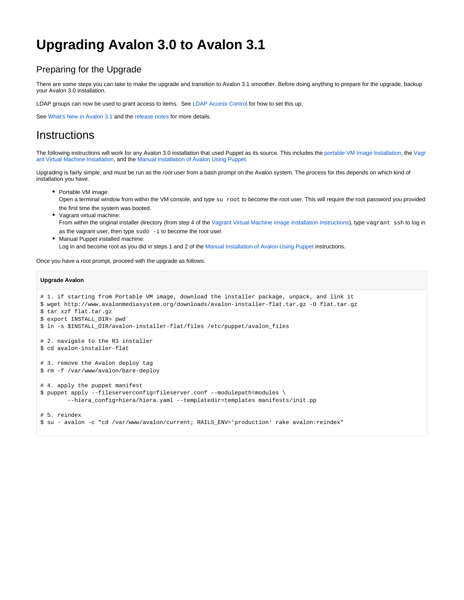# **Upgrading Avalon 3.0 to Avalon 3.1**

### Preparing for the Upgrade

There are some steps you can take to make the upgrade and transition to Avalon 3.1 smoother. Before doing anything to prepare for the upgrade, backup your Avalon 3.0 installation.

LDAP groups can now be used to grant access to items. See [LDAP Access Control](https://wiki.dlib.indiana.edu/display/VarVideo/LDAP+Access+Control) for how to set this up.

See [What's New in Avalon 3.1](https://wiki.dlib.indiana.edu/pages/viewpage.action?pageId=518389927) and the [release notes](https://bugs.dlib.indiana.edu/secure/ReleaseNote.jspa?projectId=10291&version=11169) for more details.

## **Instructions**

The following instructions will work for any Avalon 3.0 installation that used Puppet as its source. This includes the [portable VM Image Installation,](https://wiki.dlib.indiana.edu/pages/viewpage.action?pageId=515277053) the [Vagr](https://wiki.dlib.indiana.edu/pages/viewpage.action?pageId=515278422) [ant Virtual Machine Installation](https://wiki.dlib.indiana.edu/pages/viewpage.action?pageId=515278422), and the [Manual Installation of Avalon Using Puppet](https://wiki.dlib.indiana.edu/display/VarVideo/Manual+Installation+of+Avalon+Using+Puppet).

Upgrading is fairly simple, and must be run as the root user from a bash prompt on the Avalon system. The process for this depends on which kind of installation you have.

• Portable VM image:

Open a terminal window from within the VM console, and type su root to become the root user. This will require the root password you provided the first time the system was booted.

- Vagrant virtual machine: From within the original installer directory (from step 4 of the [Vagrant Virtual Machine Image Installation Instructions\)](https://wiki.dlib.indiana.edu/pages/viewpage.action?pageId=515278422), type vagrant ssh to log in as the vagrant user, then type  $sudo -i$  to become the root user.
- Manual Puppet installed machine: Log in and become root as you did in steps 1 and 2 of the [Manual Installation of Avalon Using Puppet](https://wiki.dlib.indiana.edu/display/VarVideo/Manual+Installation+of+Avalon+Using+Puppet) instructions.

Once you have a root prompt, proceed with the upgrade as follows:

### **Upgrade Avalon**

```
# 1. if starting from Portable VM image, download the installer package, unpack, and link it
$ wget http://www.avalonmediasystem.org/downloads/avalon-installer-flat.tar.gz -O flat.tar.gz 
$ tar xzf flat.tar.gz
$ export INSTALL_DIR=`pwd`
$ ln -s $INSTALL_DIR/avalon-installer-flat/files /etc/puppet/avalon_files
# 2. navigate to the R3 installer
$ cd avalon-installer-flat
# 3. remove the Avalon deploy tag
$ rm -f /var/www/avalon/bare-deploy
# 4. apply the puppet manifest
$ puppet apply --fileserverconfig=fileserver.conf --modulepath=modules \
        --hiera_config=hiera/hiera.yaml --templatedir=templates manifests/init.pp
```
# 5. reindex

\$ su - avalon -c "cd /var/www/avalon/current; RAILS\_ENV='production' rake avalon:reindex"